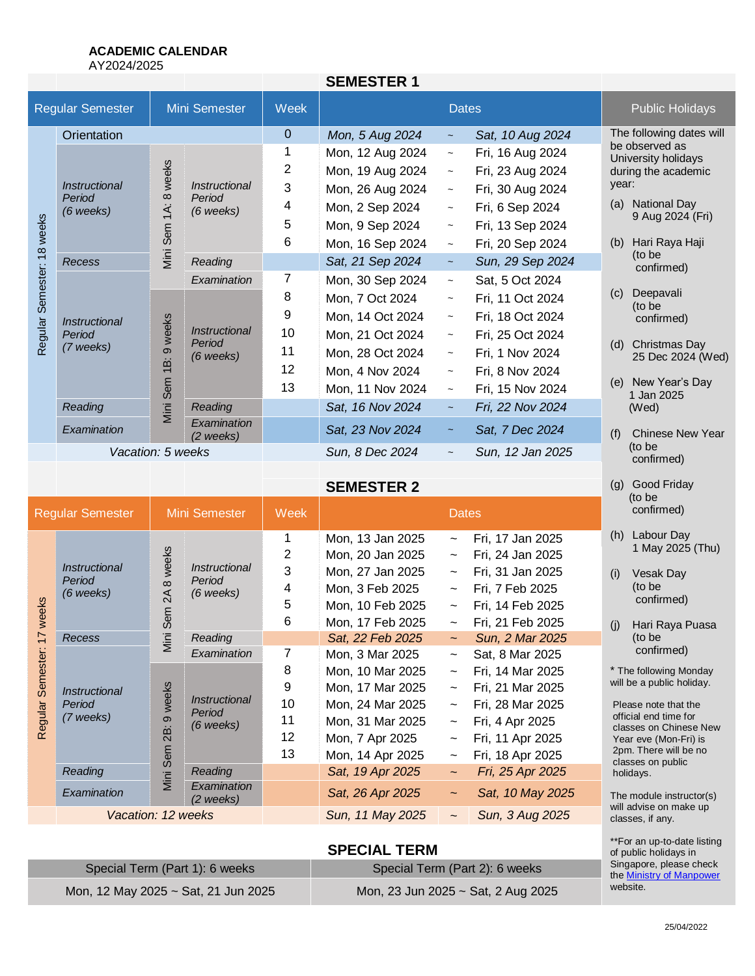# **ACADEMIC CALENDAR**

AY2024/2025

|                                          |                                                                                  |                         |                                               |                 | <b>SEMESTER 1</b> |                           |                        |                                                              |
|------------------------------------------|----------------------------------------------------------------------------------|-------------------------|-----------------------------------------------|-----------------|-------------------|---------------------------|------------------------|--------------------------------------------------------------|
| <b>Regular Semester</b><br>Mini Semester |                                                                                  |                         | Week                                          |                 | <b>Dates</b>      |                           | <b>Public Holidays</b> |                                                              |
|                                          | Orientation                                                                      |                         |                                               | $\overline{0}$  | Mon, 5 Aug 2024   | $\sim$                    | Sat, 10 Aug 2024       | The following dates will                                     |
|                                          |                                                                                  |                         |                                               | 1               | Mon, 12 Aug 2024  | $\widetilde{\phantom{m}}$ | Fri, 16 Aug 2024       | be observed as<br>University holidays<br>during the academic |
|                                          |                                                                                  |                         |                                               | 2               | Mon, 19 Aug 2024  | $\sim$                    | Fri, 23 Aug 2024       |                                                              |
|                                          | <i><b>Instructional</b></i>                                                      | 8 weeks                 | <i>Instructional</i><br>Period                | $\mathbf{3}$    | Mon, 26 Aug 2024  | $\sim$                    | Fri, 30 Aug 2024       | year:                                                        |
|                                          | Period<br>$(6$ weeks)                                                            | $\ddot{A}$<br>Viini Sem | $(6$ weeks)                                   | 4               | Mon, 2 Sep 2024   | $\widetilde{\phantom{m}}$ | Fri, 6 Sep 2024        | <b>National Day</b><br>(a)<br>9 Aug 2024 (Fri)               |
|                                          |                                                                                  |                         |                                               | 5               | Mon, 9 Sep 2024   | $\sim$                    | Fri, 13 Sep 2024       |                                                              |
| 18 weeks                                 |                                                                                  |                         |                                               | 6               | Mon, 16 Sep 2024  | $\sim$                    | Fri, 20 Sep 2024       | Hari Raya Haji<br>(b)                                        |
|                                          | <b>Recess</b>                                                                    |                         | Reading                                       |                 | Sat, 21 Sep 2024  | $\tilde{\phantom{a}}$     | Sun, 29 Sep 2024       | (to be<br>confirmed)                                         |
| Semester:                                | 9 weeks<br><i><b>Instructional</b></i><br>Period<br>(7 weeks)<br>ίB:<br>Mini Sem |                         | Examination                                   | 7               | Mon, 30 Sep 2024  | $\tilde{\phantom{a}}$     | Sat, 5 Oct 2024        |                                                              |
|                                          |                                                                                  |                         | <i>Instructional</i><br>Period<br>$(6$ weeks) | 8               | Mon, 7 Oct 2024   | $\tilde{\phantom{a}}$     | Fri, 11 Oct 2024       | Deepavali<br>(c)<br>(to be<br>confirmed)                     |
|                                          |                                                                                  |                         |                                               | 9               | Mon, 14 Oct 2024  | $\sim$                    | Fri, 18 Oct 2024       |                                                              |
| Regular :                                |                                                                                  |                         |                                               | 10              | Mon, 21 Oct 2024  | $\tilde{\phantom{a}}$     | Fri, 25 Oct 2024       |                                                              |
|                                          |                                                                                  |                         |                                               | 11              | Mon, 28 Oct 2024  | $\tilde{\phantom{a}}$     | Fri, 1 Nov 2024        | Christmas Day<br>(d)<br>25 Dec 2024 (Wed)                    |
|                                          |                                                                                  |                         |                                               | 12              | Mon, 4 Nov 2024   | $\sim$                    | Fri, 8 Nov 2024        |                                                              |
|                                          |                                                                                  |                         |                                               | 13              | Mon, 11 Nov 2024  | $\sim$                    | Fri, 15 Nov 2024       | New Year's Day<br>(e)<br>1 Jan 2025                          |
|                                          | Reading                                                                          |                         | Reading                                       |                 | Sat, 16 Nov 2024  | $\tilde{\phantom{a}}$     | Fri, 22 Nov 2024       | (Wed)                                                        |
|                                          | Examination                                                                      |                         | Examination<br>$(2$ weeks)                    |                 | Sat, 23 Nov 2024  | $\tilde{\phantom{a}}$     | Sat, 7 Dec 2024        | <b>Chinese New Year</b><br>(f)                               |
|                                          | Vacation: 5 weeks                                                                |                         |                                               | Sun, 8 Dec 2024 |                   | Sun, 12 Jan 2025          | (to be<br>confirmed)   |                                                              |

**SEMESTER 2**

|                         |                                                    |                                       |                                                                     |                                     | JLMLJI LI\ Z                                                                                                                           |                                                                                                                                                                                           |                                                                                                                                        | 197<br>(to be                                                                                                                                                                              |
|-------------------------|----------------------------------------------------|---------------------------------------|---------------------------------------------------------------------|-------------------------------------|----------------------------------------------------------------------------------------------------------------------------------------|-------------------------------------------------------------------------------------------------------------------------------------------------------------------------------------------|----------------------------------------------------------------------------------------------------------------------------------------|--------------------------------------------------------------------------------------------------------------------------------------------------------------------------------------------|
| <b>Regular Semester</b> |                                                    | Mini Semester                         |                                                                     | Week                                | <b>Dates</b>                                                                                                                           |                                                                                                                                                                                           | confirmed)                                                                                                                             |                                                                                                                                                                                            |
| weeks<br>7              | <i>Instructional</i><br>Period<br>$(6$ weeks)      | weeks<br>$\infty$<br>$\lambda$<br>Sem | <i><b>Instructional</b></i><br>Period<br>$(6$ weeks)                | 1<br>2<br>3<br>4<br>5<br>6          | Mon, 13 Jan 2025<br>Mon, 20 Jan 2025<br>Mon, 27 Jan 2025<br>Mon, 3 Feb 2025<br>Mon, 10 Feb 2025<br>Mon, 17 Feb 2025                    | $\tilde{}$<br>$\tilde{\phantom{a}}$<br>$\widetilde{\phantom{m}}$<br>$\widetilde{\phantom{m}}$<br>$\widetilde{\phantom{m}}$<br>$\sim$                                                      | Fri, 17 Jan 2025<br>Fri, 24 Jan 2025<br>Fri, 31 Jan 2025<br>Fri, 7 Feb 2025<br>Fri, 14 Feb 2025<br>Fri, 21 Feb 2025                    | Labour Day<br>(h)<br>1 May 2025<br>Vesak Day<br>(i)<br>(to be<br>confirmed)<br>(j)<br>Hari Raya F                                                                                          |
|                         | <b>Recess</b>                                      | Mini                                  |                                                                     | Reading                             |                                                                                                                                        | Sat, 22 Feb 2025                                                                                                                                                                          | $\sim$                                                                                                                                 | Sun, 2 Mar 2025                                                                                                                                                                            |
| Semester:<br>Regular    | <i><b>Instructional</b></i><br>Period<br>(7 weeks) | weeks<br>σ<br>$\overline{28}$<br>Sem  | Examination<br><i><b>Instructional</b></i><br>Period<br>$(6$ weeks) | 7<br>8<br>9<br>10<br>11<br>12<br>13 | Mon, 3 Mar 2025<br>Mon, 10 Mar 2025<br>Mon, 17 Mar 2025<br>Mon, 24 Mar 2025<br>Mon, 31 Mar 2025<br>Mon, 7 Apr 2025<br>Mon, 14 Apr 2025 | $\thicksim$<br>$\widetilde{\phantom{m}}$<br>$\widetilde{\phantom{m}}$<br>$\widetilde{\phantom{m}}$<br>$\widetilde{\phantom{m}}$<br>$\widetilde{\phantom{m}}$<br>$\widetilde{\phantom{m}}$ | Sat, 8 Mar 2025<br>Fri, 14 Mar 2025<br>Fri, 21 Mar 2025<br>Fri, 28 Mar 2025<br>Fri, 4 Apr 2025<br>Fri, 11 Apr 2025<br>Fri, 18 Apr 2025 | confirmed)<br>* The following Mo<br>will be a public hol<br>Please note that t<br>official end time fo<br>classes on Chines<br>Year eve (Mon-Fr<br>2pm. There will be<br>classes on public |
|                         | Reading                                            | Mini :                                | Reading                                                             |                                     | Sat, 19 Apr 2025                                                                                                                       | $\sim$                                                                                                                                                                                    | Fri, 25 Apr 2025                                                                                                                       | holidays.                                                                                                                                                                                  |
|                         | Examination                                        |                                       | Examination<br>$(2$ weeks)                                          |                                     | Sat, 26 Apr 2025                                                                                                                       | $\sim$                                                                                                                                                                                    | Sat, 10 May 2025                                                                                                                       | The module instru<br>will advise on mak                                                                                                                                                    |
|                         | Vacation: 12 weeks                                 |                                       |                                                                     |                                     | Sun, 11 May 2025                                                                                                                       | $\tilde{}$                                                                                                                                                                                | Sun, 3 Aug 2025                                                                                                                        | classes, if any.                                                                                                                                                                           |

# **SPECIAL TERM**

| Special Term (Part 1): 6 weeks      | Special Term (Part 2): 6 weeks     |
|-------------------------------------|------------------------------------|
| Mon, 12 May 2025 ~ Sat, 21 Jun 2025 | Mon, 23 Jun 2025 ~ Sat, 2 Aug 2025 |

| (h) | Labour Day<br>1 May 2025 (Thu) |
|-----|--------------------------------|
| (i) | Vesak Day<br>(to be            |

(g) Good Friday

ari Raya Puasa o be confirmed)

\* The following Monday will be a public holiday.

note that the end time for s on Chinese New ve (Mon-Fri) is here will be no s on public /S.

dule instructor(s) will advise on make up classes, if any.

\*\*For an up-to-date listing of public holidays in Singapore, please check th[e Ministry of Manpower](http://www.mom.gov.sg/employment-practices/leave-and-holidays/pages/public-holidays-2015.aspx) website.